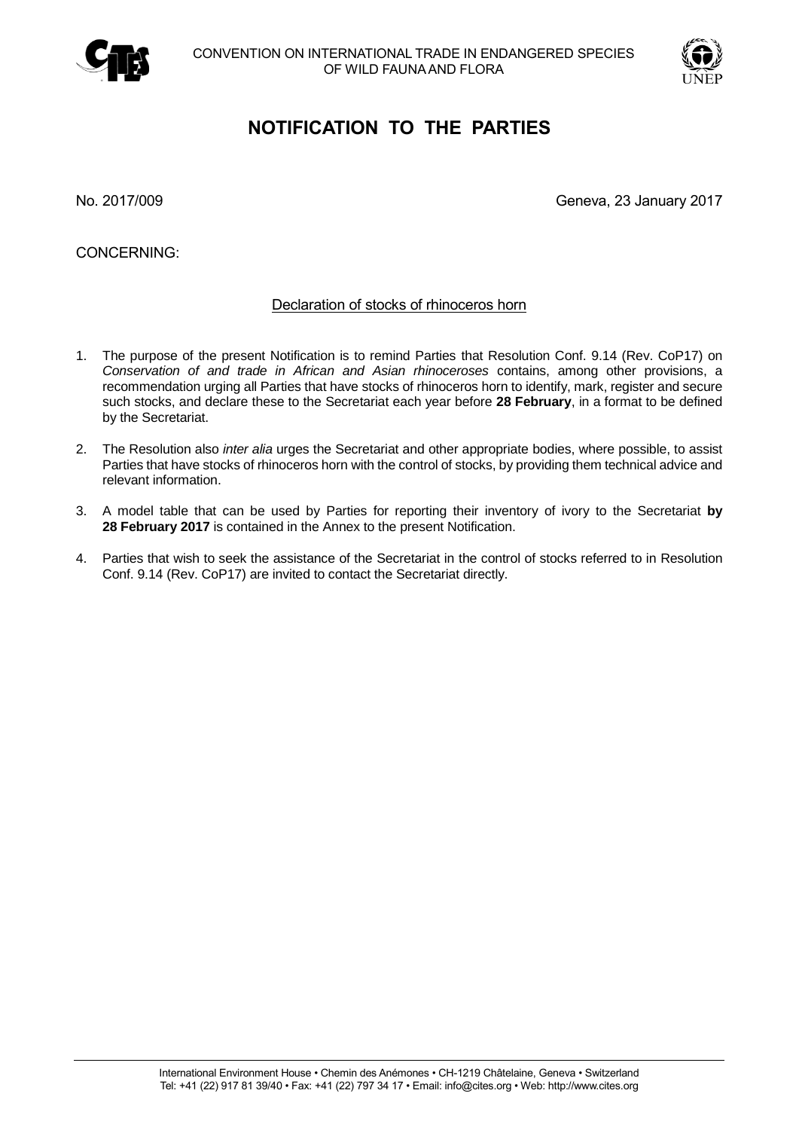



## **NOTIFICATION TO THE PARTIES**

No. 2017/009 Geneva, 23 January 2017

CONCERNING:

## Declaration of stocks of rhinoceros horn

- 1. The purpose of the present Notification is to remind Parties that Resolution Conf. 9.14 (Rev. CoP17) on *Conservation of and trade in African and Asian rhinoceroses* contains, among other provisions, a recommendation urging all Parties that have stocks of rhinoceros horn to identify, mark, register and secure such stocks, and declare these to the Secretariat each year before **28 February**, in a format to be defined by the Secretariat.
- 2. The Resolution also *inter alia* urges the Secretariat and other appropriate bodies, where possible, to assist Parties that have stocks of rhinoceros horn with the control of stocks, by providing them technical advice and relevant information.
- 3. A model table that can be used by Parties for reporting their inventory of ivory to the Secretariat **by 28 February 2017** is contained in the Annex to the present Notification.
- 4. Parties that wish to seek the assistance of the Secretariat in the control of stocks referred to in Resolution Conf. 9.14 (Rev. CoP17) are invited to contact the Secretariat directly.